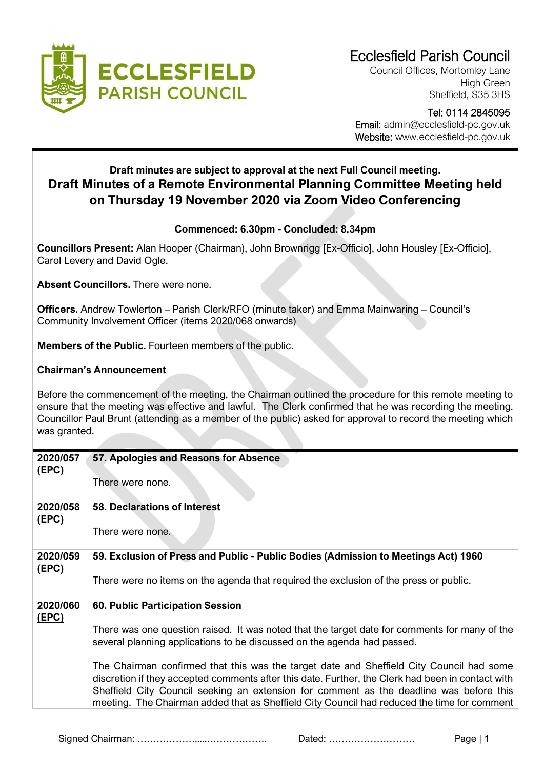

Council Offices, Mortomley Lane High Green Sheffield, S35 3HS

## Tel: 0114 2845095 Email: admin@ecclesfield-pc.gov.uk Website: www.ecclesfield-pc.gov.uk

## **Draft minutes are subject to approval at the next Full Council meeting. Draft Minutes of a Remote Environmental Planning Committee Meeting held on Thursday 19 November 2020 via Zoom Video Conferencing**

## **Commenced: 6.30pm - Concluded: 8.34pm**

**Councillors Present:** Alan Hooper (Chairman), John Brownrigg [Ex-Officio], John Housley [Ex-Officio], Carol Levery and David Ogle.

**Absent Councillors.** There were none.

**Officers.** Andrew Towlerton – Parish Clerk/RFO (minute taker) and Emma Mainwaring – Council's Community Involvement Officer (items 2020/068 onwards)

**Members of the Public.** Fourteen members of the public.

## **Chairman's Announcement**

Before the commencement of the meeting, the Chairman outlined the procedure for this remote meeting to ensure that the meeting was effective and lawful. The Clerk confirmed that he was recording the meeting. Councillor Paul Brunt (attending as a member of the public) asked for approval to record the meeting which was granted.

| 2020/057     | 57. Apologies and Reasons for Absence                                                             |
|--------------|---------------------------------------------------------------------------------------------------|
| <u>(EPC)</u> |                                                                                                   |
|              | There were none.                                                                                  |
|              |                                                                                                   |
| 2020/058     | <b>58. Declarations of Interest</b>                                                               |
| (EPC)        |                                                                                                   |
|              | There were none.                                                                                  |
|              |                                                                                                   |
| 2020/059     | 59. Exclusion of Press and Public - Public Bodies (Admission to Meetings Act) 1960                |
| <u>(EPC)</u> |                                                                                                   |
|              | There were no items on the agenda that required the exclusion of the press or public.             |
|              |                                                                                                   |
| 2020/060     | 60. Public Participation Session                                                                  |
| <u>(EPC)</u> |                                                                                                   |
|              | There was one question raised. It was noted that the target date for comments for many of the     |
|              | several planning applications to be discussed on the agenda had passed.                           |
|              |                                                                                                   |
|              | The Chairman confirmed that this was the target date and Sheffield City Council had some          |
|              | discretion if they accepted comments after this date. Further, the Clerk had been in contact with |
|              | Sheffield City Council seeking an extension for comment as the deadline was before this           |
|              | meeting. The Chairman added that as Sheffield City Council had reduced the time for comment       |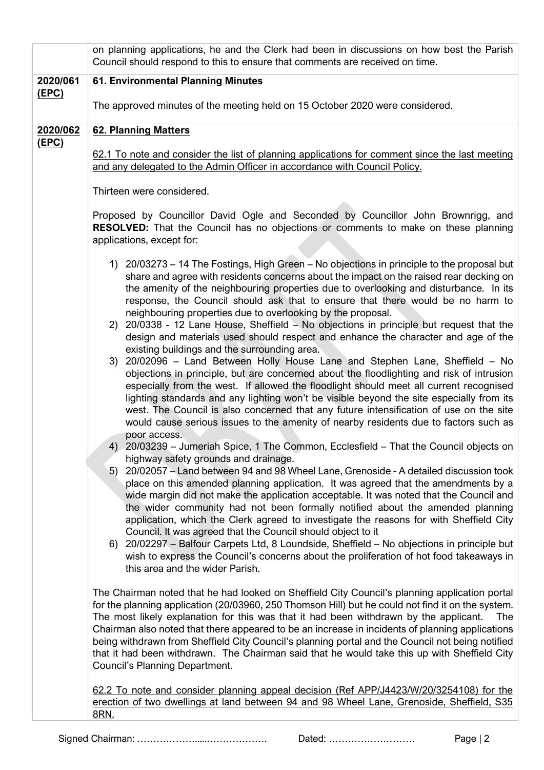|                   | on planning applications, he and the Clerk had been in discussions on how best the Parish<br>Council should respond to this to ensure that comments are received on time.                                                                                                                                                                                                                                                                                                                                                                                                                                                                                                                                                                                                                                                                                                                                                                                                                                                                                                                                                                                                                                                                                                                                                                                                                                                                                                                                                                                                                                                                                                                                                                                                                                                                                                                                                                                                                                                                                                                                                                                                                                                |
|-------------------|--------------------------------------------------------------------------------------------------------------------------------------------------------------------------------------------------------------------------------------------------------------------------------------------------------------------------------------------------------------------------------------------------------------------------------------------------------------------------------------------------------------------------------------------------------------------------------------------------------------------------------------------------------------------------------------------------------------------------------------------------------------------------------------------------------------------------------------------------------------------------------------------------------------------------------------------------------------------------------------------------------------------------------------------------------------------------------------------------------------------------------------------------------------------------------------------------------------------------------------------------------------------------------------------------------------------------------------------------------------------------------------------------------------------------------------------------------------------------------------------------------------------------------------------------------------------------------------------------------------------------------------------------------------------------------------------------------------------------------------------------------------------------------------------------------------------------------------------------------------------------------------------------------------------------------------------------------------------------------------------------------------------------------------------------------------------------------------------------------------------------------------------------------------------------------------------------------------------------|
| 2020/061<br>(EPC) | 61. Environmental Planning Minutes                                                                                                                                                                                                                                                                                                                                                                                                                                                                                                                                                                                                                                                                                                                                                                                                                                                                                                                                                                                                                                                                                                                                                                                                                                                                                                                                                                                                                                                                                                                                                                                                                                                                                                                                                                                                                                                                                                                                                                                                                                                                                                                                                                                       |
|                   | The approved minutes of the meeting held on 15 October 2020 were considered.                                                                                                                                                                                                                                                                                                                                                                                                                                                                                                                                                                                                                                                                                                                                                                                                                                                                                                                                                                                                                                                                                                                                                                                                                                                                                                                                                                                                                                                                                                                                                                                                                                                                                                                                                                                                                                                                                                                                                                                                                                                                                                                                             |
| 2020/062<br>(EPC) | <b>62. Planning Matters</b>                                                                                                                                                                                                                                                                                                                                                                                                                                                                                                                                                                                                                                                                                                                                                                                                                                                                                                                                                                                                                                                                                                                                                                                                                                                                                                                                                                                                                                                                                                                                                                                                                                                                                                                                                                                                                                                                                                                                                                                                                                                                                                                                                                                              |
|                   | 62.1 To note and consider the list of planning applications for comment since the last meeting                                                                                                                                                                                                                                                                                                                                                                                                                                                                                                                                                                                                                                                                                                                                                                                                                                                                                                                                                                                                                                                                                                                                                                                                                                                                                                                                                                                                                                                                                                                                                                                                                                                                                                                                                                                                                                                                                                                                                                                                                                                                                                                           |
|                   | and any delegated to the Admin Officer in accordance with Council Policy.                                                                                                                                                                                                                                                                                                                                                                                                                                                                                                                                                                                                                                                                                                                                                                                                                                                                                                                                                                                                                                                                                                                                                                                                                                                                                                                                                                                                                                                                                                                                                                                                                                                                                                                                                                                                                                                                                                                                                                                                                                                                                                                                                |
|                   | Thirteen were considered.                                                                                                                                                                                                                                                                                                                                                                                                                                                                                                                                                                                                                                                                                                                                                                                                                                                                                                                                                                                                                                                                                                                                                                                                                                                                                                                                                                                                                                                                                                                                                                                                                                                                                                                                                                                                                                                                                                                                                                                                                                                                                                                                                                                                |
|                   | Proposed by Councillor David Ogle and Seconded by Councillor John Brownrigg, and<br><b>RESOLVED:</b> That the Council has no objections or comments to make on these planning<br>applications, except for:                                                                                                                                                                                                                                                                                                                                                                                                                                                                                                                                                                                                                                                                                                                                                                                                                                                                                                                                                                                                                                                                                                                                                                                                                                                                                                                                                                                                                                                                                                                                                                                                                                                                                                                                                                                                                                                                                                                                                                                                               |
|                   | 1) 20/03273 – 14 The Fostings, High Green – No objections in principle to the proposal but<br>share and agree with residents concerns about the impact on the raised rear decking on<br>the amenity of the neighbouring properties due to overlooking and disturbance. In its<br>response, the Council should ask that to ensure that there would be no harm to<br>neighbouring properties due to overlooking by the proposal.<br>2) 20/0338 - 12 Lane House, Sheffield - No objections in principle but request that the<br>design and materials used should respect and enhance the character and age of the<br>existing buildings and the surrounding area.<br>3) 20/02096 - Land Between Holly House Lane and Stephen Lane, Sheffield - No<br>objections in principle, but are concerned about the floodlighting and risk of intrusion<br>especially from the west. If allowed the floodlight should meet all current recognised<br>lighting standards and any lighting won't be visible beyond the site especially from its<br>west. The Council is also concerned that any future intensification of use on the site<br>would cause serious issues to the amenity of nearby residents due to factors such as<br>poor access.<br>4) 20/03239 - Jumeriah Spice, 1 The Common, Ecclesfield - That the Council objects on<br>highway safety grounds and drainage.<br>20/02057 - Land between 94 and 98 Wheel Lane, Grenoside - A detailed discussion took<br>5)<br>place on this amended planning application. It was agreed that the amendments by a<br>wide margin did not make the application acceptable. It was noted that the Council and<br>the wider community had not been formally notified about the amended planning<br>application, which the Clerk agreed to investigate the reasons for with Sheffield City<br>Council. It was agreed that the Council should object to it<br>6) 20/02297 – Balfour Carpets Ltd, 8 Loundside, Sheffield – No objections in principle but<br>wish to express the Council's concerns about the proliferation of hot food takeaways in<br>this area and the wider Parish.<br>The Chairman noted that he had looked on Sheffield City Council's planning application portal |
|                   | for the planning application (20/03960, 250 Thomson Hill) but he could not find it on the system.<br>The most likely explanation for this was that it had been withdrawn by the applicant.<br>The<br>Chairman also noted that there appeared to be an increase in incidents of planning applications<br>being withdrawn from Sheffield City Council's planning portal and the Council not being notified<br>that it had been withdrawn. The Chairman said that he would take this up with Sheffield City<br>Council's Planning Department.                                                                                                                                                                                                                                                                                                                                                                                                                                                                                                                                                                                                                                                                                                                                                                                                                                                                                                                                                                                                                                                                                                                                                                                                                                                                                                                                                                                                                                                                                                                                                                                                                                                                               |
|                   | 62.2 To note and consider planning appeal decision (Ref APP/J4423/W/20/3254108) for the<br>erection of two dwellings at land between 94 and 98 Wheel Lane, Grenoside, Sheffield, S35<br>8RN.                                                                                                                                                                                                                                                                                                                                                                                                                                                                                                                                                                                                                                                                                                                                                                                                                                                                                                                                                                                                                                                                                                                                                                                                                                                                                                                                                                                                                                                                                                                                                                                                                                                                                                                                                                                                                                                                                                                                                                                                                             |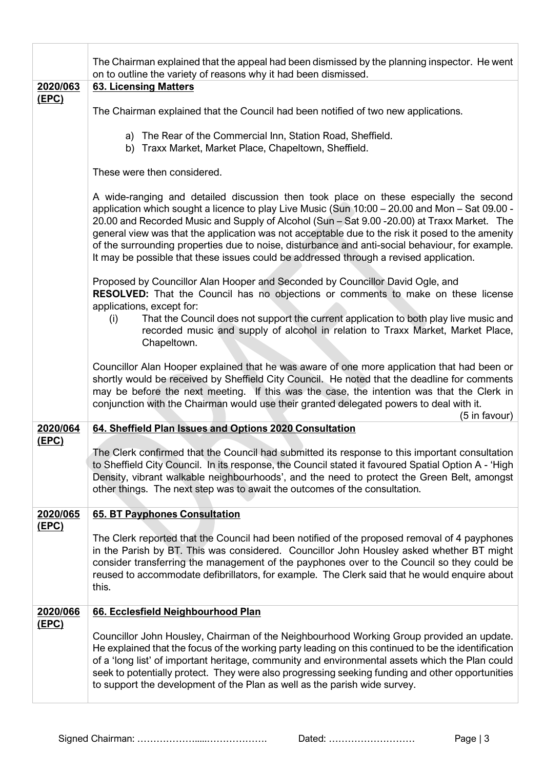|                          | The Chairman explained that the appeal had been dismissed by the planning inspector. He went<br>on to outline the variety of reasons why it had been dismissed.                                                                                                                                                                                                                                                                                                                                                                                                                         |
|--------------------------|-----------------------------------------------------------------------------------------------------------------------------------------------------------------------------------------------------------------------------------------------------------------------------------------------------------------------------------------------------------------------------------------------------------------------------------------------------------------------------------------------------------------------------------------------------------------------------------------|
| 2020/063                 | <b>63. Licensing Matters</b>                                                                                                                                                                                                                                                                                                                                                                                                                                                                                                                                                            |
| <u>(EPC)</u>             | The Chairman explained that the Council had been notified of two new applications.                                                                                                                                                                                                                                                                                                                                                                                                                                                                                                      |
|                          | a) The Rear of the Commercial Inn, Station Road, Sheffield.<br>b) Traxx Market, Market Place, Chapeltown, Sheffield.                                                                                                                                                                                                                                                                                                                                                                                                                                                                    |
|                          | These were then considered.                                                                                                                                                                                                                                                                                                                                                                                                                                                                                                                                                             |
|                          | A wide-ranging and detailed discussion then took place on these especially the second<br>application which sought a licence to play Live Music (Sun 10:00 – 20.00 and Mon – Sat 09.00 -<br>20.00 and Recorded Music and Supply of Alcohol (Sun - Sat 9.00 -20.00) at Traxx Market. The<br>general view was that the application was not acceptable due to the risk it posed to the amenity<br>of the surrounding properties due to noise, disturbance and anti-social behaviour, for example.<br>It may be possible that these issues could be addressed through a revised application. |
|                          | Proposed by Councillor Alan Hooper and Seconded by Councillor David Ogle, and<br><b>RESOLVED:</b> That the Council has no objections or comments to make on these license<br>applications, except for:<br>That the Council does not support the current application to both play live music and<br>(i)<br>recorded music and supply of alcohol in relation to Traxx Market, Market Place,                                                                                                                                                                                               |
|                          | Chapeltown.                                                                                                                                                                                                                                                                                                                                                                                                                                                                                                                                                                             |
|                          | Councillor Alan Hooper explained that he was aware of one more application that had been or<br>shortly would be received by Sheffield City Council. He noted that the deadline for comments<br>may be before the next meeting. If this was the case, the intention was that the Clerk in<br>conjunction with the Chairman would use their granted delegated powers to deal with it.<br>(5 in favour)                                                                                                                                                                                    |
| 2020/064<br><u>(EPC)</u> | 64. Sheffield Plan Issues and Options 2020 Consultation                                                                                                                                                                                                                                                                                                                                                                                                                                                                                                                                 |
|                          | The Clerk confirmed that the Council had submitted its response to this important consultation<br>to Sheffield City Council. In its response, the Council stated it favoured Spatial Option A - 'High<br>Density, vibrant walkable neighbourhoods', and the need to protect the Green Belt, amongst<br>other things. The next step was to await the outcomes of the consultation.                                                                                                                                                                                                       |
| 2020/065<br><u>(EPC)</u> | <b>65. BT Payphones Consultation</b>                                                                                                                                                                                                                                                                                                                                                                                                                                                                                                                                                    |
|                          | The Clerk reported that the Council had been notified of the proposed removal of 4 payphones<br>in the Parish by BT. This was considered. Councillor John Housley asked whether BT might<br>consider transferring the management of the payphones over to the Council so they could be<br>reused to accommodate defibrillators, for example. The Clerk said that he would enquire about<br>this.                                                                                                                                                                                        |
| 2020/066                 | 66. Ecclesfield Neighbourhood Plan                                                                                                                                                                                                                                                                                                                                                                                                                                                                                                                                                      |
| <u>(EPC)</u>             | Councillor John Housley, Chairman of the Neighbourhood Working Group provided an update.<br>He explained that the focus of the working party leading on this continued to be the identification<br>of a 'long list' of important heritage, community and environmental assets which the Plan could<br>seek to potentially protect. They were also progressing seeking funding and other opportunities<br>to support the development of the Plan as well as the parish wide survey.                                                                                                      |
|                          |                                                                                                                                                                                                                                                                                                                                                                                                                                                                                                                                                                                         |